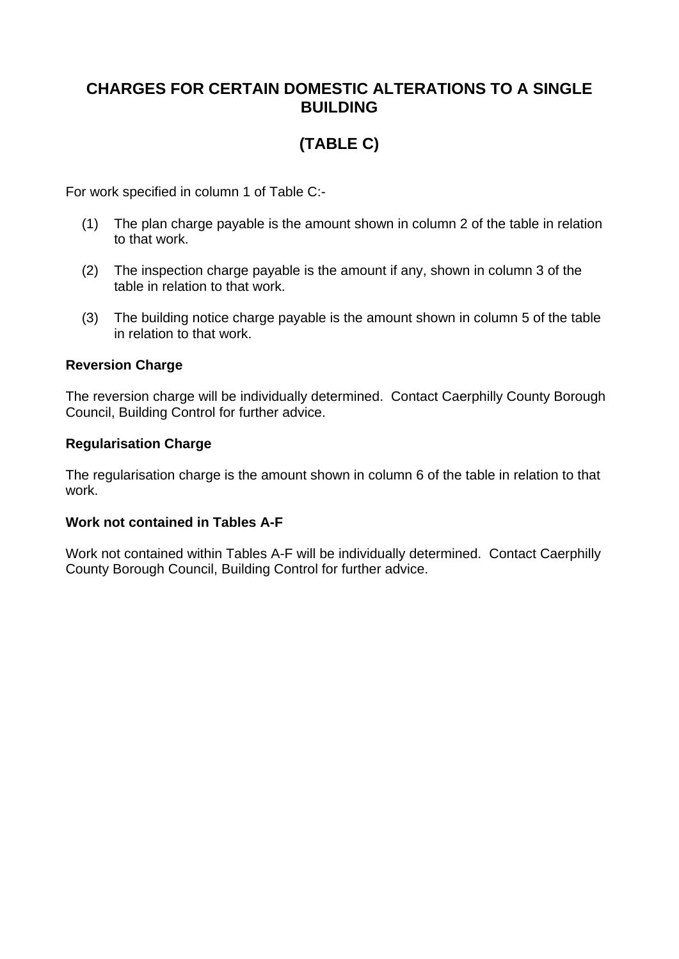## **CHARGES FOR CERTAIN DOMESTIC ALTERATIONS TO A SINGLE BUILDING**

# **(TABLE C)**

For work specified in column 1 of Table C:-

- (1) The plan charge payable is the amount shown in column 2 of the table in relation to that work.
- (2) The inspection charge payable is the amount if any, shown in column 3 of the table in relation to that work.
- (3) The building notice charge payable is the amount shown in column 5 of the table in relation to that work.

#### **Reversion Charge**

The reversion charge will be individually determined. Contact Caerphilly County Borough Council, Building Control for further advice.

### **Regularisation Charge**

The regularisation charge is the amount shown in column 6 of the table in relation to that work.

#### **Work not contained in Tables A-F**

Work not contained within Tables A-F will be individually determined. Contact Caerphilly County Borough Council, Building Control for further advice.